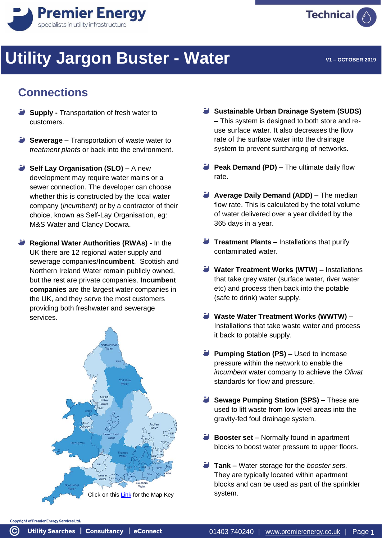



# **Utility Jargon Buster - Water**

**V1 – OCTOBER 2019**

### **Connections**

- **Supply -** Transportation of fresh water to customers.
- **Sewerage –** Transportation of waste water to *treatment plants* or back into the environment.
- **Self Lay Organisation (SLO) –** A new development may require water mains or a sewer connection. The developer can choose whether this is constructed by the local water company (*incumbent*) or by a contractor of their choice, known as Self-Lay Organisation, eg: M&S Water and Clancy Docwra.
- **Regional Water Authorities (RWAs) -** In the UK there are 12 regional water supply and sewerage companies/**Incumbent**. Scottish and Northern Ireland Water remain publicly owned, but the rest are private companies. **Incumbent companies** are the largest water companies in the UK, and they serve the most customers providing both freshwater and sewerage services.



- **Sustainable Urban Drainage System (SUDS) –** This system is designed to both store and reuse surface water. It also decreases the flow rate of the surface water into the drainage system to prevent surcharging of networks.
- **Peak Demand (PD) –** The ultimate daily flow rate.
- **Average Daily Demand (ADD) –** The median flow rate. This is calculated by the total volume of water delivered over a year divided by the 365 days in a year.
- **Treatment Plants –** Installations that purify contaminated water.
- **Water Treatment Works (WTW) –** Installations that take grey water (surface water, river water etc) and process then back into the potable (safe to drink) water supply.
- **Waste Water Treatment Works (WWTW) –** Installations that take waste water and process it back to potable supply.
- **Pumping Station (PS) –** Used to increase pressure within the network to enable the *incumbent* water company to achieve the *Ofwat* standards for flow and pressure.
- **Sewage Pumping Station (SPS) –** These are used to lift waste from low level areas into the gravity-fed foul drainage system.
- **Booster set –** Normally found in apartment blocks to boost water pressure to upper floors.
- **Tank –** Water storage for the *booster sets*. They are typically located within apartment blocks and can be used as part of the sprinkler

Copyright of Premier Energy Services Ltd.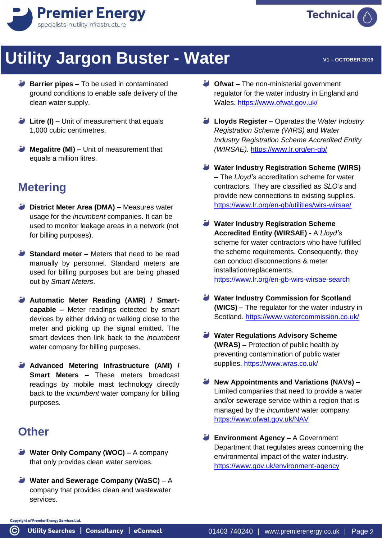



- **Barrier pipes –** To be used in contaminated ground conditions to enable safe delivery of the clean water supply.
- **Litre (I) –** Unit of measurement that equals 1,000 cubic centimetres.
- **Megalitre (MI) –** Unit of measurement that equals a million litres.

#### **Metering**

- **District Meter Area (DMA) –** Measures water usage for the *incumbent* companies. It can be used to monitor leakage areas in a network (not for billing purposes).
- **Standard meter –** Meters that need to be read manually by personnel. Standard meters are used for billing purposes but are being phased out by *Smart Meters*.
- **Automatic Meter Reading (AMR) / Smartcapable –** Meter readings detected by smart devices by either driving or walking close to the meter and picking up the signal emitted. The smart devices then link back to the *incumbent* water company for billing purposes.
- **Advanced Metering Infrastructure (AMI) / Smart Meters –** These meters broadcast readings by mobile mast technology directly back to the *incumbent* water company for billing purposes.

#### **Other**

- **Water Only Company (WOC) –** A company that only provides clean water services.
- **Water and Sewerage Company (WaSC)** A company that provides clean and wastewater services.
- **Ofwat –** The non-ministerial government regulator for the water industry in England and Wales[. https://www.ofwat.gov.uk/](https://www.ofwat.gov.uk/)
- **Lloyds Register –** Operates the *Water Industry Registration Scheme (WIRS)* and *Water Industry Registration Scheme Accredited Entity (WIRSAE).* <https://www.lr.org/en-gb/>
- **Water Industry Registration Scheme (WIRS) –** The *Lloyd's* accreditation scheme for water contractors. They are classified as *SLO's* and provide new connections to existing supplies. <https://www.lr.org/en-gb/utilities/wirs-wirsae/>
- **Water Industry Registration Scheme Accredited Entity (WIRSAE) -** A *Lloyd's*  scheme for water contractors who have fulfilled the scheme requirements. Consequently, they can conduct disconnections & meter installation/replacements. [https://www.lr.org/en-gb-wirs-wirsae-search](https://www.lr.org/en-gb/utilities/water-industry-registration-scheme-wirs-wirsae/search/#search-options)
- **Water Industry Commission for Scotland (WICS) –** The regulator for the water industry in Scotland.<https://www.watercommission.co.uk/>
- **Water Regulations Advisory Scheme (WRAS) –** Protection of public health by preventing contamination of public water supplies.<https://www.wras.co.uk/>
- **New Appointments and Variations (NAVs) –** Limited companies that need to provide a water and/or sewerage service within a region that is managed by the *incumbent* water company. [https://www.ofwat.gov.uk/NAV](https://www.ofwat.gov.uk/regulated-companies/markets/nav-market/)
- **Environment Agency –** A Government Department that regulates areas concerning the environmental impact of the water industry. [https://www.gov.uk/environment-agency](https://www.gov.uk/government/organisations/environment-agency)

**Copyright of Premier Energy Services Ltd.** 

**Technical**